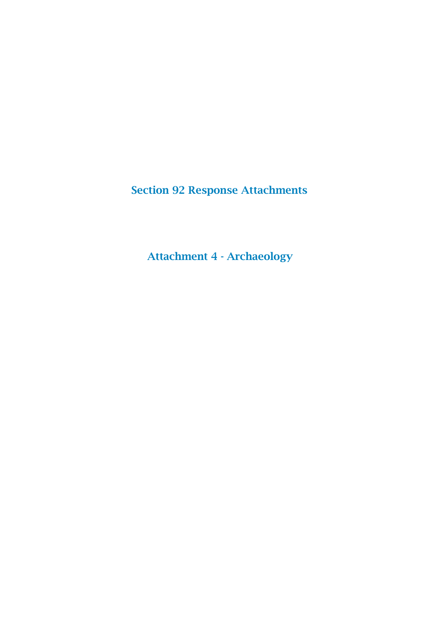Section 92 Response Attachments

Attachment 4 - Archaeology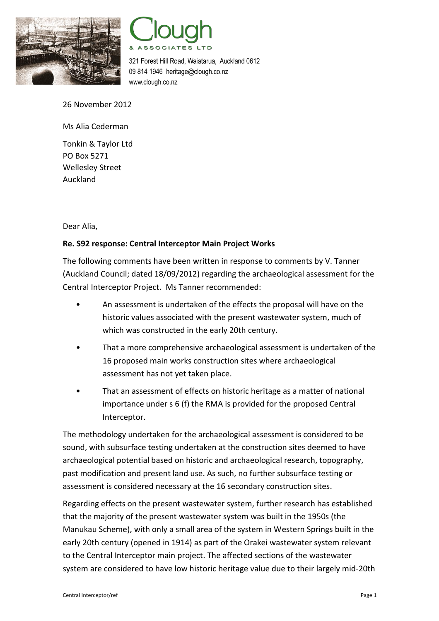



321 Forest Hill Road, Waiatarua, Auckland 0612 09 814 1946 heritage@clough.co.nz www.clough.co.nz

26 November 2012

Ms Alia Cederman

Tonkin & Taylor Ltd PO Box 5271 Wellesley Street Auckland

Dear Alia,

## **Re. S92 response: Central Interceptor Main Project Works**

The following comments have been written in response to comments by V. Tanner (Auckland Council; dated 18/09/2012) regarding the archaeological assessment for the Central Interceptor Project. Ms Tanner recommended:

- An assessment is undertaken of the effects the proposal will have on the historic values associated with the present wastewater system, much of which was constructed in the early 20th century.
- That a more comprehensive archaeological assessment is undertaken of the 16 proposed main works construction sites where archaeological assessment has not yet taken place.
- That an assessment of effects on historic heritage as a matter of national importance under s 6 (f) the RMA is provided for the proposed Central Interceptor.

The methodology undertaken for the archaeological assessment is considered to be sound, with subsurface testing undertaken at the construction sites deemed to have archaeological potential based on historic and archaeological research, topography, past modification and present land use. As such, no further subsurface testing or assessment is considered necessary at the 16 secondary construction sites.

Regarding effects on the present wastewater system, further research has established that the majority of the present wastewater system was built in the 1950s (the Manukau Scheme), with only a small area of the system in Western Springs built in the early 20th century (opened in 1914) as part of the Orakei wastewater system relevant to the Central Interceptor main project. The affected sections of the wastewater system are considered to have low historic heritage value due to their largely mid-20th